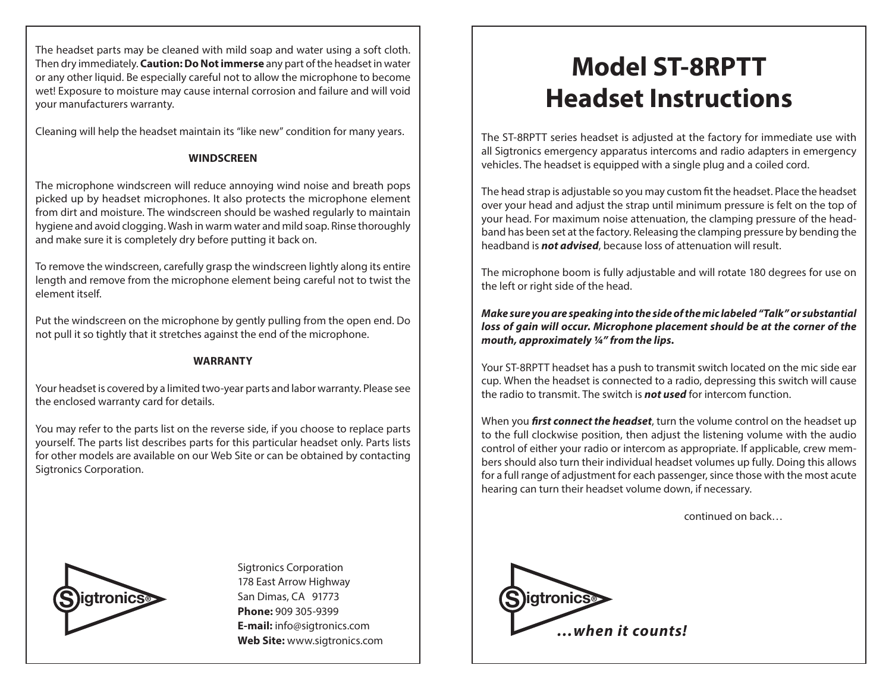The headset parts may be cleaned with mild soap and water using a soft cloth. Then dry immediately. **Caution: Do Not immerse** any part of the headset in water or any other liquid. Be especially careful not to allow the microphone to become wet! Exposure to moisture may cause internal corrosion and failure and will void your manufacturers warranty.

Cleaning will help the headset maintain its "like new" condition for many years.

## **WINDSCREEN**

The microphone windscreen will reduce annoying wind noise and breath pops picked up by headset microphones. It also protects the microphone element from dirt and moisture. The windscreen should be washed regularly to maintain hygiene and avoid clogging. Wash in warm water and mild soap. Rinse thoroughly and make sure it is completely dry before putting it back on.

To remove the windscreen, carefully grasp the windscreen lightly along its entire length and remove from the microphone element being careful not to twist the element itself.

Put the windscreen on the microphone by gently pulling from the open end. Do not pull it so tightly that it stretches against the end of the microphone.

## **WARRANTY**

Your headset is covered by a limited two-year parts and labor warranty. Please see the enclosed warranty card for details.

You may refer to the parts list on the reverse side, if you choose to replace parts yourself. The parts list describes parts for this particular headset only. Parts lists for other models are available on our Web Site or can be obtained by contacting Sigtronics Corporation.



**S igtronics**<br> **S igtronics**<br> **S igtronics** Sigtronics Corporation 178 East Arrow Highway San Dimas, CA 91773 **Phone:** 909 305-9399 **E-mail:** info@sigtronics.com **Web Site:** www.sigtronics.com

## **Model ST-8RPTT Headset Instructions**

The ST-8RPTT series headset is adjusted at the factory for immediate use with all Sigtronics emergency apparatus intercoms and radio adapters in emergency vehicles. The headset is equipped with a single plug and a coiled cord.

The head strap is adjustable so you may custom fit the headset. Place the headset over your head and adjust the strap until minimum pressure is felt on the top of your head. For maximum noise attenuation, the clamping pressure of the headband has been set at the factory. Releasing the clamping pressure by bending the headband is *not advised*, because loss of attenuation will result.

The microphone boom is fully adjustable and will rotate 180 degrees for use on the left or right side of the head.

*Make sure you are speaking into the side of the mic labeled "Talk" or substantial loss of gain will occur. Microphone placement should be at the corner of the mouth, approximately ¼" from the lips.*

Your ST-8RPTT headset has a push to transmit switch located on the mic side ear cup. When the headset is connected to a radio, depressing this switch will cause the radio to transmit. The switch is *not used* for intercom function.

When you *first connect the headset*, turn the volume control on the headset up to the full clockwise position, then adjust the listening volume with the audio control of either your radio or intercom as appropriate. If applicable, crew members should also turn their individual headset volumes up fully. Doing this allows for a full range of adjustment for each passenger, since those with the most acute hearing can turn their headset volume down, if necessary.

continued on back…